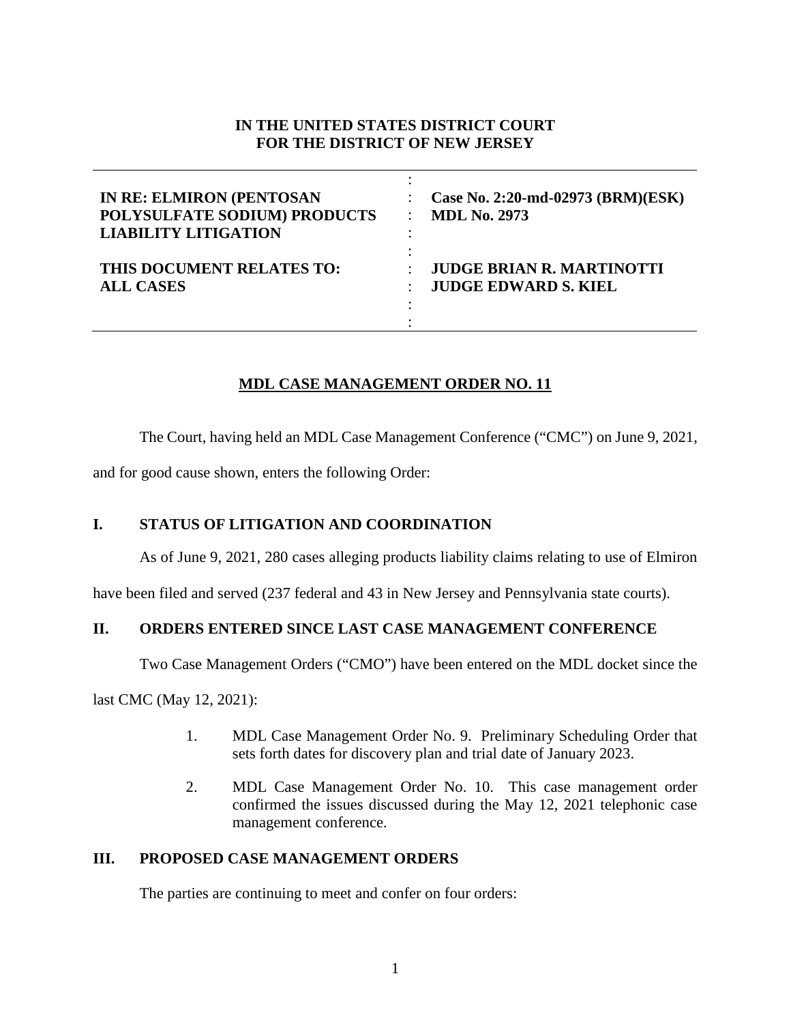#### **IN THE UNITED STATES DISTRICT COURT FOR THE DISTRICT OF NEW JERSEY**

| <b>IN RE: ELMIRON (PENTOSAN</b><br>POLYSULFATE SODIUM) PRODUCTS<br><b>LIABILITY LITIGATION</b> | Case No. 2:20-md-02973 (BRM)(ESK)<br><b>MDL No. 2973</b> |
|------------------------------------------------------------------------------------------------|----------------------------------------------------------|
| THIS DOCUMENT RELATES TO:                                                                      | <b>JUDGE BRIAN R. MARTINOTTI</b>                         |
| <b>ALL CASES</b>                                                                               | <b>JUDGE EDWARD S. KIEL</b>                              |

# **MDL CASE MANAGEMENT ORDER NO. 11**

The Court, having held an MDL Case Management Conference ("CMC") on June 9, 2021,

and for good cause shown, enters the following Order:

# **I. STATUS OF LITIGATION AND COORDINATION**

As of June 9, 2021, 280 cases alleging products liability claims relating to use of Elmiron

have been filed and served (237 federal and 43 in New Jersey and Pennsylvania state courts).

# **II. ORDERS ENTERED SINCE LAST CASE MANAGEMENT CONFERENCE**

Two Case Management Orders ("CMO") have been entered on the MDL docket since the

last CMC (May 12, 2021):

- 1. MDL Case Management Order No. 9. Preliminary Scheduling Order that sets forth dates for discovery plan and trial date of January 2023.
- 2. MDL Case Management Order No. 10. This case management order confirmed the issues discussed during the May 12, 2021 telephonic case management conference.

# **III. PROPOSED CASE MANAGEMENT ORDERS**

The parties are continuing to meet and confer on four orders: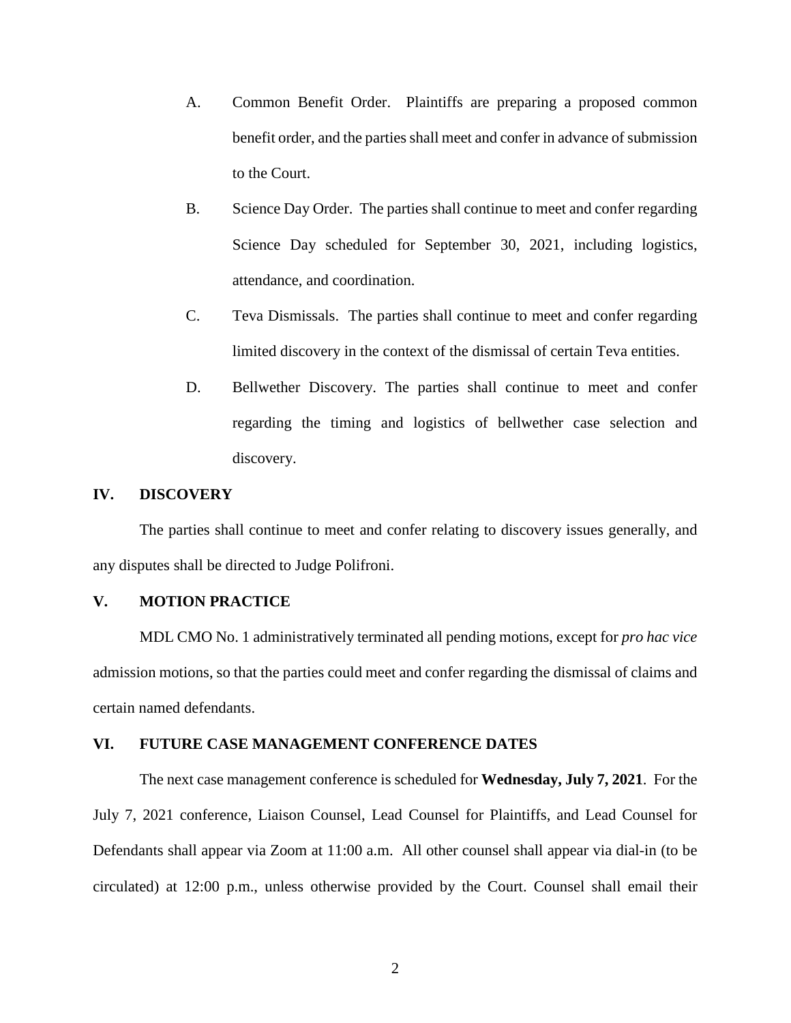- A. Common Benefit Order. Plaintiffs are preparing a proposed common benefit order, and the parties shall meet and confer in advance of submission to the Court.
- B. Science Day Order. The parties shall continue to meet and confer regarding Science Day scheduled for September 30, 2021, including logistics, attendance, and coordination.
- C. Teva Dismissals. The parties shall continue to meet and confer regarding limited discovery in the context of the dismissal of certain Teva entities.
- D. Bellwether Discovery. The parties shall continue to meet and confer regarding the timing and logistics of bellwether case selection and discovery.

#### **IV. DISCOVERY**

The parties shall continue to meet and confer relating to discovery issues generally, and any disputes shall be directed to Judge Polifroni.

#### **V. MOTION PRACTICE**

MDL CMO No. 1 administratively terminated all pending motions, except for *pro hac vice*  admission motions, so that the parties could meet and confer regarding the dismissal of claims and certain named defendants.

#### **VI. FUTURE CASE MANAGEMENT CONFERENCE DATES**

The next case management conference is scheduled for **Wednesday, July 7, 2021**. For the July 7, 2021 conference, Liaison Counsel, Lead Counsel for Plaintiffs, and Lead Counsel for Defendants shall appear via Zoom at 11:00 a.m. All other counsel shall appear via dial-in (to be circulated) at 12:00 p.m., unless otherwise provided by the Court. Counsel shall email their